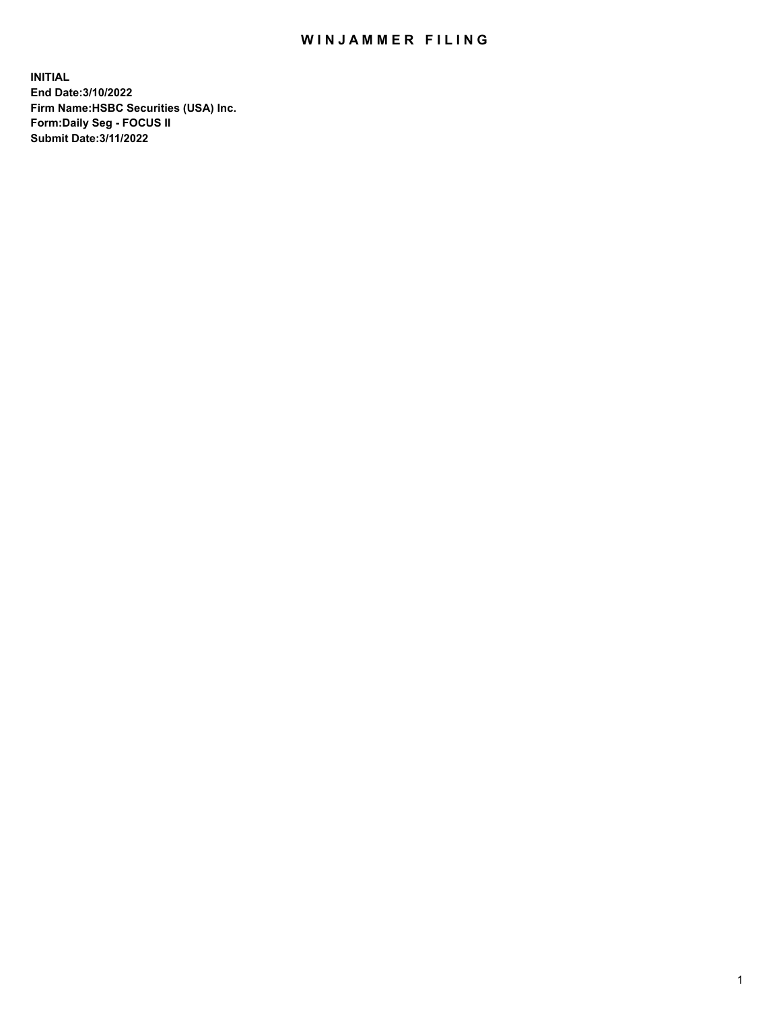## WIN JAMMER FILING

**INITIAL End Date:3/10/2022 Firm Name:HSBC Securities (USA) Inc. Form:Daily Seg - FOCUS II Submit Date:3/11/2022**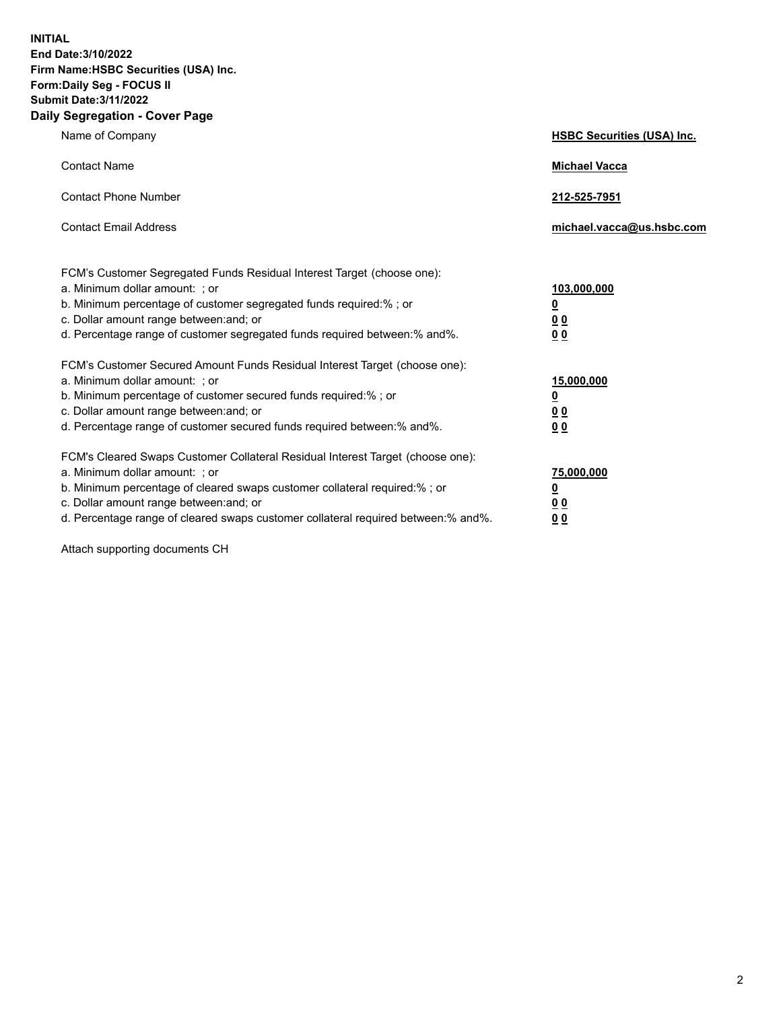**INITIAL End Date:3/10/2022 Firm Name:HSBC Securities (USA) Inc. Form:Daily Seg - FOCUS II Submit Date:3/11/2022 Daily Segregation - Cover Page**

| Name of Company                                                                                                                                                                                                                                                                                                                | <b>HSBC Securities (USA) Inc.</b>                           |
|--------------------------------------------------------------------------------------------------------------------------------------------------------------------------------------------------------------------------------------------------------------------------------------------------------------------------------|-------------------------------------------------------------|
| <b>Contact Name</b>                                                                                                                                                                                                                                                                                                            | <b>Michael Vacca</b>                                        |
| <b>Contact Phone Number</b>                                                                                                                                                                                                                                                                                                    | 212-525-7951                                                |
| <b>Contact Email Address</b>                                                                                                                                                                                                                                                                                                   | michael.vacca@us.hsbc.com                                   |
| FCM's Customer Segregated Funds Residual Interest Target (choose one):<br>a. Minimum dollar amount: ; or<br>b. Minimum percentage of customer segregated funds required:% ; or<br>c. Dollar amount range between: and; or<br>d. Percentage range of customer segregated funds required between:% and%.                         | 103,000,000<br><u>0</u><br>0 <sub>0</sub><br>0 <sub>0</sub> |
| FCM's Customer Secured Amount Funds Residual Interest Target (choose one):<br>a. Minimum dollar amount: ; or<br>b. Minimum percentage of customer secured funds required:% ; or<br>c. Dollar amount range between: and; or<br>d. Percentage range of customer secured funds required between: % and %.                         | 15,000,000<br><u>0</u><br>0 <sub>0</sub><br>0 <sub>0</sub>  |
| FCM's Cleared Swaps Customer Collateral Residual Interest Target (choose one):<br>a. Minimum dollar amount: ; or<br>b. Minimum percentage of cleared swaps customer collateral required:% ; or<br>c. Dollar amount range between: and; or<br>d. Percentage range of cleared swaps customer collateral required between:% and%. | 75,000,000<br><u>0</u><br>00<br>00                          |

Attach supporting documents CH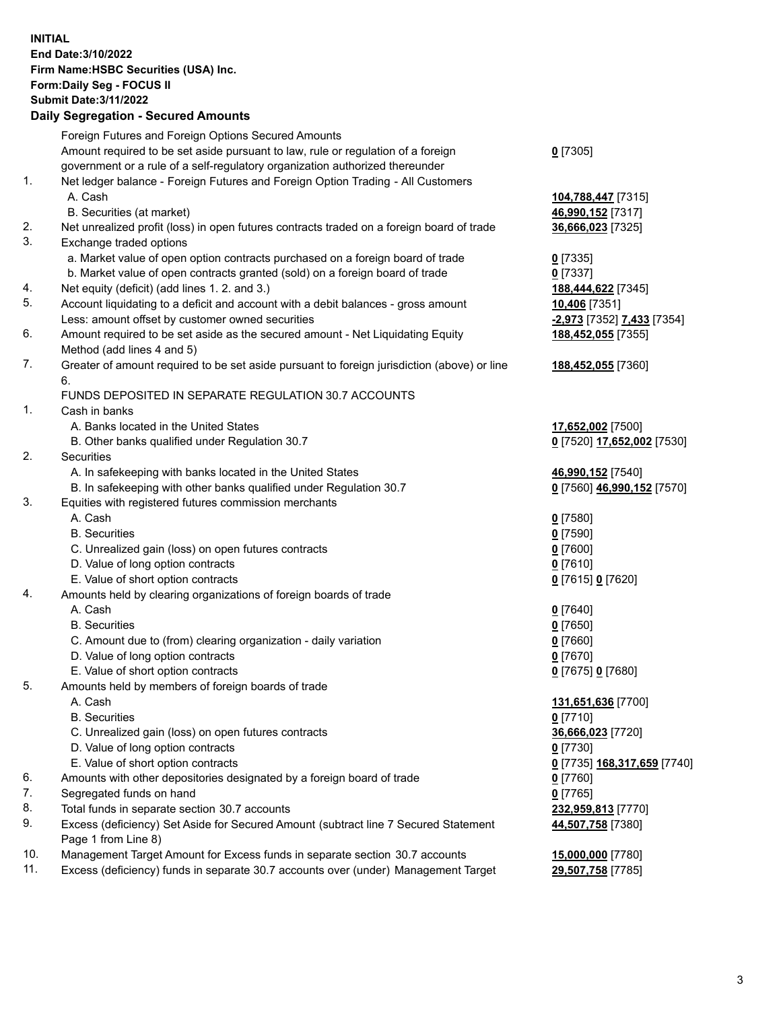**INITIAL End Date:3/10/2022 Firm Name:HSBC Securities (USA) Inc. Form:Daily Seg - FOCUS II Submit Date:3/11/2022 Daily Segregation - Secured Amounts** Foreign Futures and Foreign Options Secured Amounts Amount required to be set aside pursuant to law, rule or regulation of a foreign government or a rule of a self-regulatory organization authorized thereunder **0** [7305] 1. Net ledger balance - Foreign Futures and Foreign Option Trading - All Customers A. Cash **104,788,447** [7315] B. Securities (at market) **46,990,152** [7317] 2. Net unrealized profit (loss) in open futures contracts traded on a foreign board of trade **36,666,023** [7325] 3. Exchange traded options a. Market value of open option contracts purchased on a foreign board of trade **0** [7335] b. Market value of open contracts granted (sold) on a foreign board of trade **0** [7337] 4. Net equity (deficit) (add lines 1. 2. and 3.) **188,444,622** [7345] 5. Account liquidating to a deficit and account with a debit balances - gross amount **10,406** [7351] Less: amount offset by customer owned securities **-2,973** [7352] **7,433** [7354] 6. Amount required to be set aside as the secured amount - Net Liquidating Equity Method (add lines 4 and 5) **188,452,055** [7355] 7. Greater of amount required to be set aside pursuant to foreign jurisdiction (above) or line 6. **188,452,055** [7360] FUNDS DEPOSITED IN SEPARATE REGULATION 30.7 ACCOUNTS 1. Cash in banks A. Banks located in the United States **17,652,002** [7500] B. Other banks qualified under Regulation 30.7 **0** [7520] **17,652,002** [7530] 2. Securities A. In safekeeping with banks located in the United States **46,990,152** [7540] B. In safekeeping with other banks qualified under Regulation 30.7 **0** [7560] **46,990,152** [7570] 3. Equities with registered futures commission merchants A. Cash **0** [7580] B. Securities **0** [7590] C. Unrealized gain (loss) on open futures contracts **0** [7600] D. Value of long option contracts **0** [7610] E. Value of short option contracts **0** [7615] **0** [7620] 4. Amounts held by clearing organizations of foreign boards of trade A. Cash **0** [7640] B. Securities **0** [7650] C. Amount due to (from) clearing organization - daily variation **0** [7660] D. Value of long option contracts **0** [7670] E. Value of short option contracts **0** [7675] **0** [7680] 5. Amounts held by members of foreign boards of trade A. Cash **131,651,636** [7700]

- B. Securities **0** [7710]
- C. Unrealized gain (loss) on open futures contracts **36,666,023** [7720]
- D. Value of long option contracts **0** [7730]
- E. Value of short option contracts **0** [7735] **168,317,659** [7740]
- 6. Amounts with other depositories designated by a foreign board of trade **0** [7760]
- 7. Segregated funds on hand **0** [7765]
- 8. Total funds in separate section 30.7 accounts **232,959,813** [7770]
- 9. Excess (deficiency) Set Aside for Secured Amount (subtract line 7 Secured Statement Page 1 from Line 8)
- 10. Management Target Amount for Excess funds in separate section 30.7 accounts **15,000,000** [7780]
- 11. Excess (deficiency) funds in separate 30.7 accounts over (under) Management Target **29,507,758** [7785]

**44,507,758** [7380]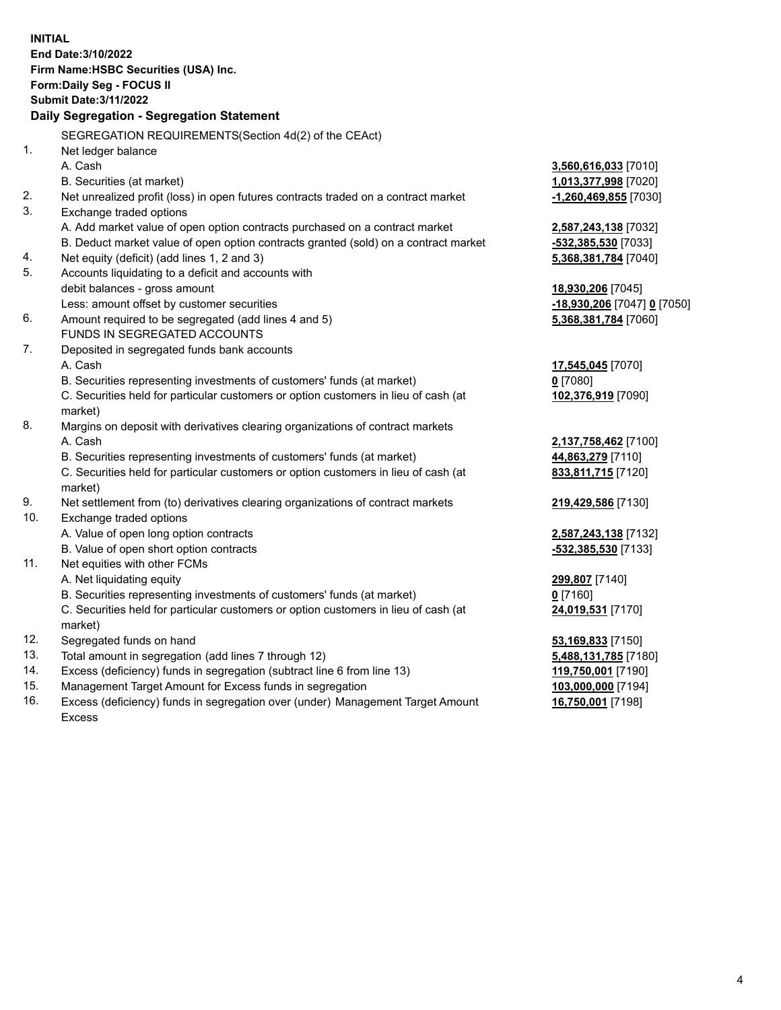**INITIAL End Date:3/10/2022 Firm Name:HSBC Securities (USA) Inc. Form:Daily Seg - FOCUS II Submit Date:3/11/2022 Daily Segregation - Segregation Statement** SEGREGATION REQUIREMENTS(Section 4d(2) of the CEAct) 1. Net ledger balance A. Cash **3,560,616,033** [7010] B. Securities (at market) **1,013,377,998** [7020] 2. Net unrealized profit (loss) in open futures contracts traded on a contract market **-1,260,469,855** [7030] 3. Exchange traded options A. Add market value of open option contracts purchased on a contract market **2,587,243,138** [7032] B. Deduct market value of open option contracts granted (sold) on a contract market **-532,385,530** [7033] 4. Net equity (deficit) (add lines 1, 2 and 3) **5,368,381,784** [7040] 5. Accounts liquidating to a deficit and accounts with debit balances - gross amount **18,930,206** [7045] Less: amount offset by customer securities **-18,930,206** [7047] **0** [7050] 6. Amount required to be segregated (add lines 4 and 5) **5,368,381,784** [7060] FUNDS IN SEGREGATED ACCOUNTS 7. Deposited in segregated funds bank accounts A. Cash **17,545,045** [7070] B. Securities representing investments of customers' funds (at market) **0** [7080] C. Securities held for particular customers or option customers in lieu of cash (at market) **102,376,919** [7090] 8. Margins on deposit with derivatives clearing organizations of contract markets A. Cash **2,137,758,462** [7100] B. Securities representing investments of customers' funds (at market) **44,863,279** [7110] C. Securities held for particular customers or option customers in lieu of cash (at market) **833,811,715** [7120] 9. Net settlement from (to) derivatives clearing organizations of contract markets **219,429,586** [7130] 10. Exchange traded options A. Value of open long option contracts **2,587,243,138** [7132] B. Value of open short option contracts **-532,385,530** [7133] 11. Net equities with other FCMs A. Net liquidating equity **299,807** [7140] B. Securities representing investments of customers' funds (at market) **0** [7160] C. Securities held for particular customers or option customers in lieu of cash (at market) **24,019,531** [7170] 12. Segregated funds on hand **53,169,833** [7150] 13. Total amount in segregation (add lines 7 through 12) **5,488,131,785** [7180] 14. Excess (deficiency) funds in segregation (subtract line 6 from line 13) **119,750,001** [7190] 15. Management Target Amount for Excess funds in segregation **103,000,000** [7194]

16. Excess (deficiency) funds in segregation over (under) Management Target Amount Excess

**16,750,001** [7198]